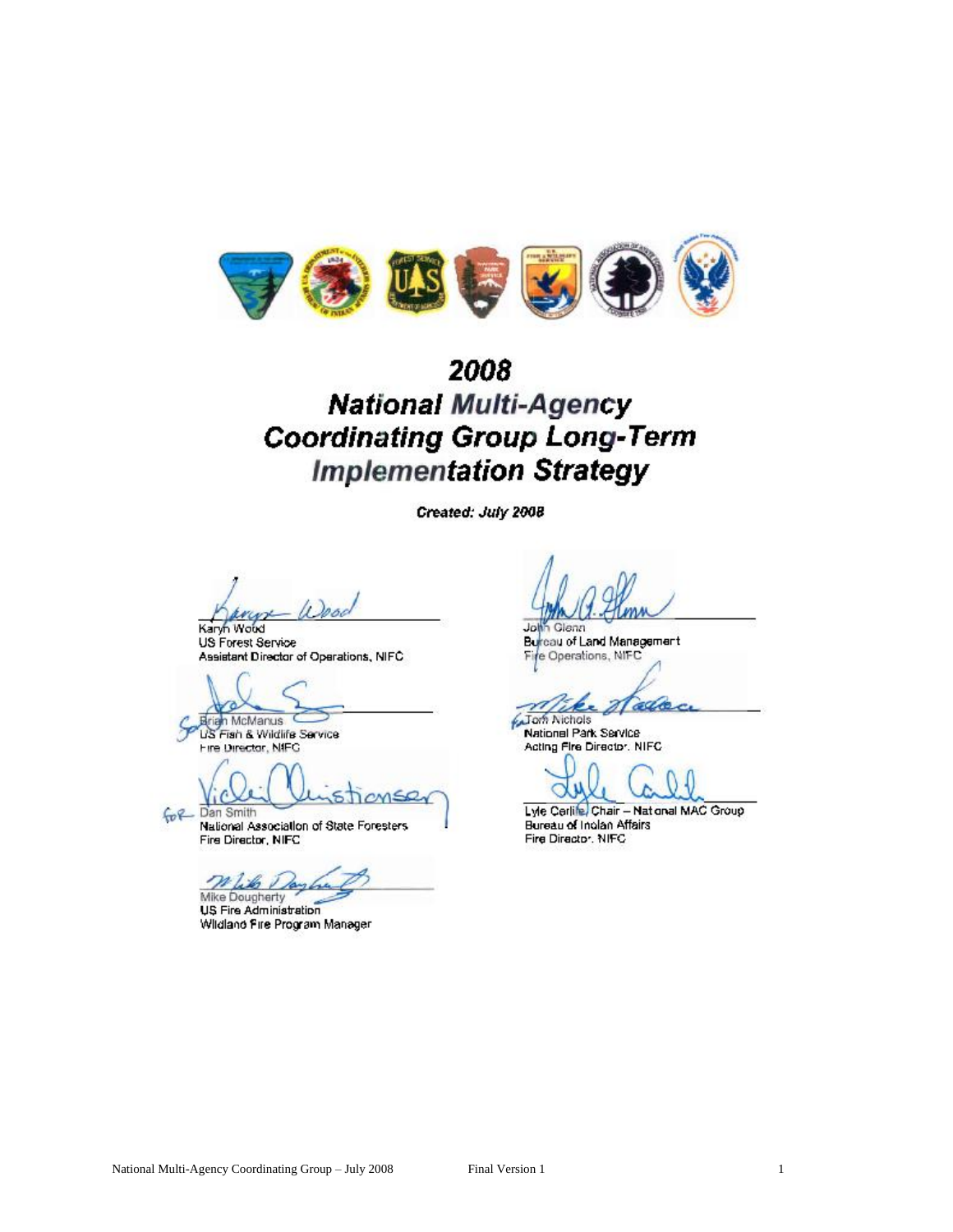

# 2008 **National Multi-Agency Coordinating Group Long-Term Implementation Strategy**

Created: July 2008

2000

Karyn Woud US Forest Service Assistant Director of Operations, NIFC

arian McManus

US Fish & Wildlife Service Fire Director, NIFC

for Dan Smith

National Association of State Foresters Fire Director, NIFC

n like A Mike Dougherty

US Fire Administration Wildland Fire Program Manager

John Glenn Bureau of Land Management Fire Operations, NIFC

all Jom Nichols

National Park Service Acting Fire Director, NIFC

Lyle Cerlife, Chair - National MAC Group Bureau of Inglan Affairs Fire Director, NIFC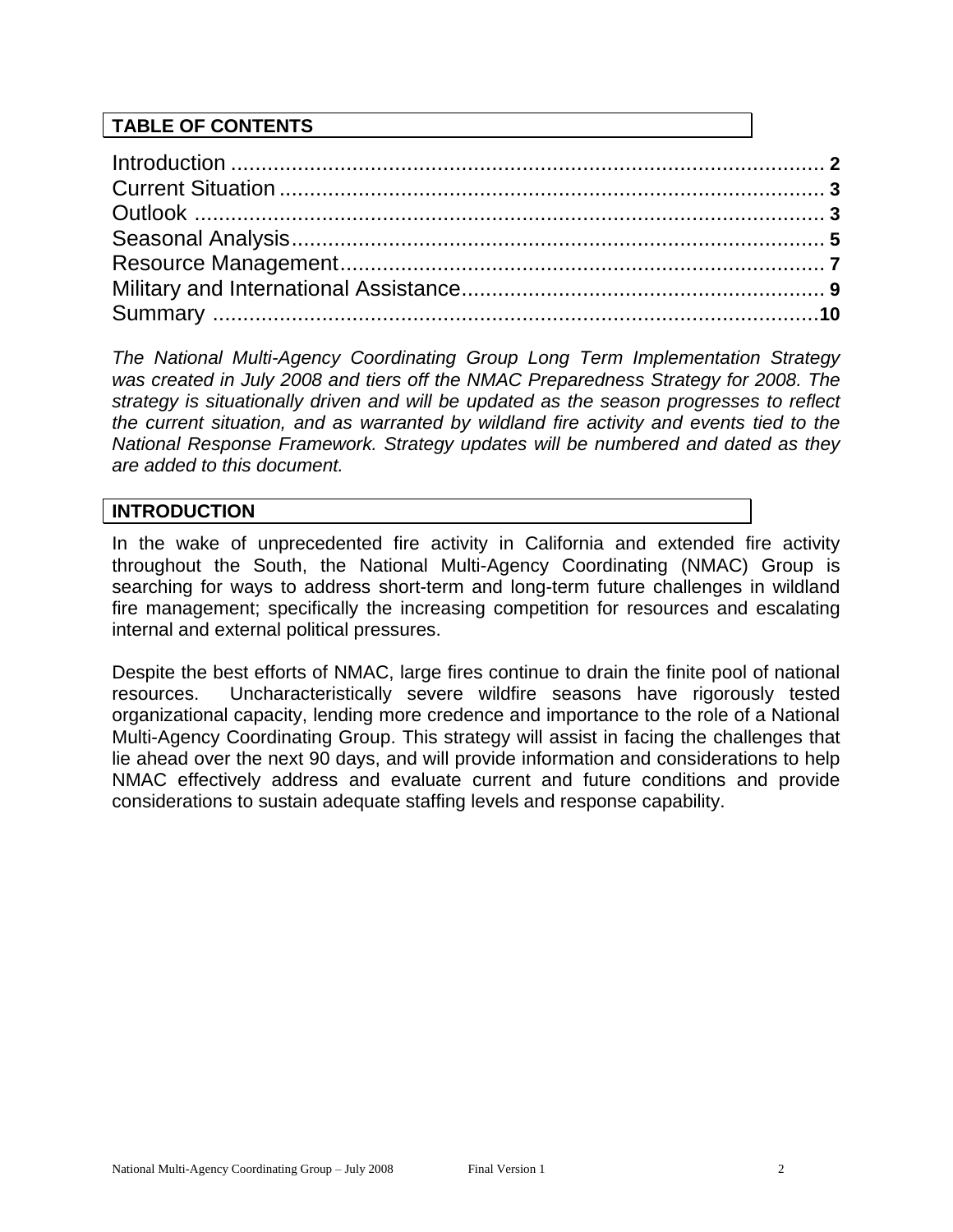## **TABLE OF CONTENTS**

*The National Multi-Agency Coordinating Group Long Term Implementation Strategy was created in July 2008 and tiers off the NMAC Preparedness Strategy for 2008. The strategy is situationally driven and will be updated as the season progresses to reflect the current situation, and as warranted by wildland fire activity and events tied to the National Response Framework. Strategy updates will be numbered and dated as they are added to this document.* 

## **INTRODUCTION**

In the wake of unprecedented fire activity in California and extended fire activity throughout the South, the National Multi-Agency Coordinating (NMAC) Group is searching for ways to address short-term and long-term future challenges in wildland fire management; specifically the increasing competition for resources and escalating internal and external political pressures.

Despite the best efforts of NMAC, large fires continue to drain the finite pool of national resources. Uncharacteristically severe wildfire seasons have rigorously tested organizational capacity, lending more credence and importance to the role of a National Multi-Agency Coordinating Group. This strategy will assist in facing the challenges that lie ahead over the next 90 days, and will provide information and considerations to help NMAC effectively address and evaluate current and future conditions and provide considerations to sustain adequate staffing levels and response capability.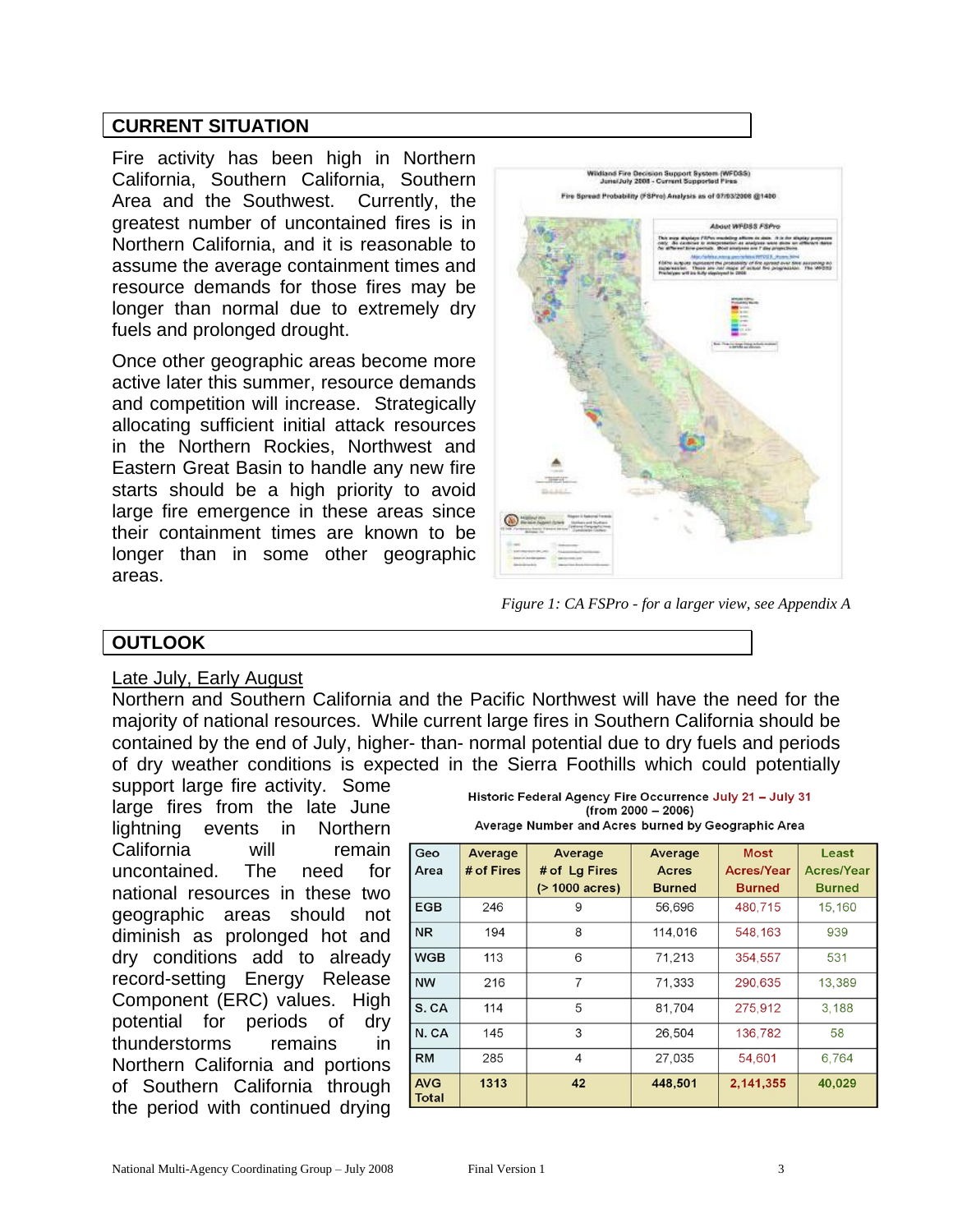## **CURRENT SITUATION**

Fire activity has been high in Northern California, Southern California, Southern Area and the Southwest. Currently, the greatest number of uncontained fires is in Northern California, and it is reasonable to assume the average containment times and resource demands for those fires may be longer than normal due to extremely dry fuels and prolonged drought.

Once other geographic areas become more active later this summer, resource demands and competition will increase. Strategically allocating sufficient initial attack resources in the Northern Rockies, Northwest and Eastern Great Basin to handle any new fire starts should be a high priority to avoid large fire emergence in these areas since their containment times are known to be longer than in some other geographic areas.



*Figure 1: CA FSPro - for a larger view, see Appendix A*

## **OUTLOOK**

#### Late July, Early August

Northern and Southern California and the Pacific Northwest will have the need for the majority of national resources. While current large fires in Southern California should be contained by the end of July, higher- than- normal potential due to dry fuels and periods of dry weather conditions is expected in the Sierra Foothills which could potentially

support large fire activity. Some large fires from the late June lightning events in Northern California will remain uncontained. The need for national resources in these two geographic areas should not diminish as prolonged hot and dry conditions add to already record-setting Energy Release Component (ERC) values. High potential for periods of dry thunderstorms remains in Northern California and portions of Southern California through the period with continued drying

| Historic Federal Agency Fire Occurrence July 21 - July 31 |  |  |  |  |  |  |  |
|-----------------------------------------------------------|--|--|--|--|--|--|--|
| (from 2000 – 2006)                                        |  |  |  |  |  |  |  |
| Average Number and Acres burned by Geographic Area        |  |  |  |  |  |  |  |

| Geo<br>Area                | Average<br># of Fires | Average<br># of Lg Fires<br>$($ > 1000 acres) | Average<br><b>Acres</b><br><b>Burned</b> | <b>Most</b><br><b>Acres/Year</b><br><b>Burned</b> | Least<br><b>Acres/Year</b><br><b>Burned</b> |
|----------------------------|-----------------------|-----------------------------------------------|------------------------------------------|---------------------------------------------------|---------------------------------------------|
| <b>EGB</b>                 | 246                   | 9                                             | 56,696                                   | 480,715                                           | 15,160                                      |
| <b>NR</b>                  | 194                   | 8                                             | 114,016                                  | 548,163                                           | 939                                         |
| <b>WGB</b>                 | 113                   | 6                                             | 71,213                                   | 354,557                                           | 531                                         |
| <b>NW</b>                  | 216                   | $\overline{7}$                                | 71,333                                   | 290,635                                           | 13,389                                      |
| S. CA                      | 114                   | 5                                             | 81,704                                   | 275,912                                           | 3,188                                       |
| N.CA                       | 145                   | 3                                             | 26,504                                   | 136,782                                           | 58                                          |
| <b>RM</b>                  | 285                   | 4                                             | 27,035                                   | 54,601                                            | 6,764                                       |
| <b>AVG</b><br><b>Total</b> | 1313                  | 42                                            | 448,501                                  | 2,141,355                                         | 40,029                                      |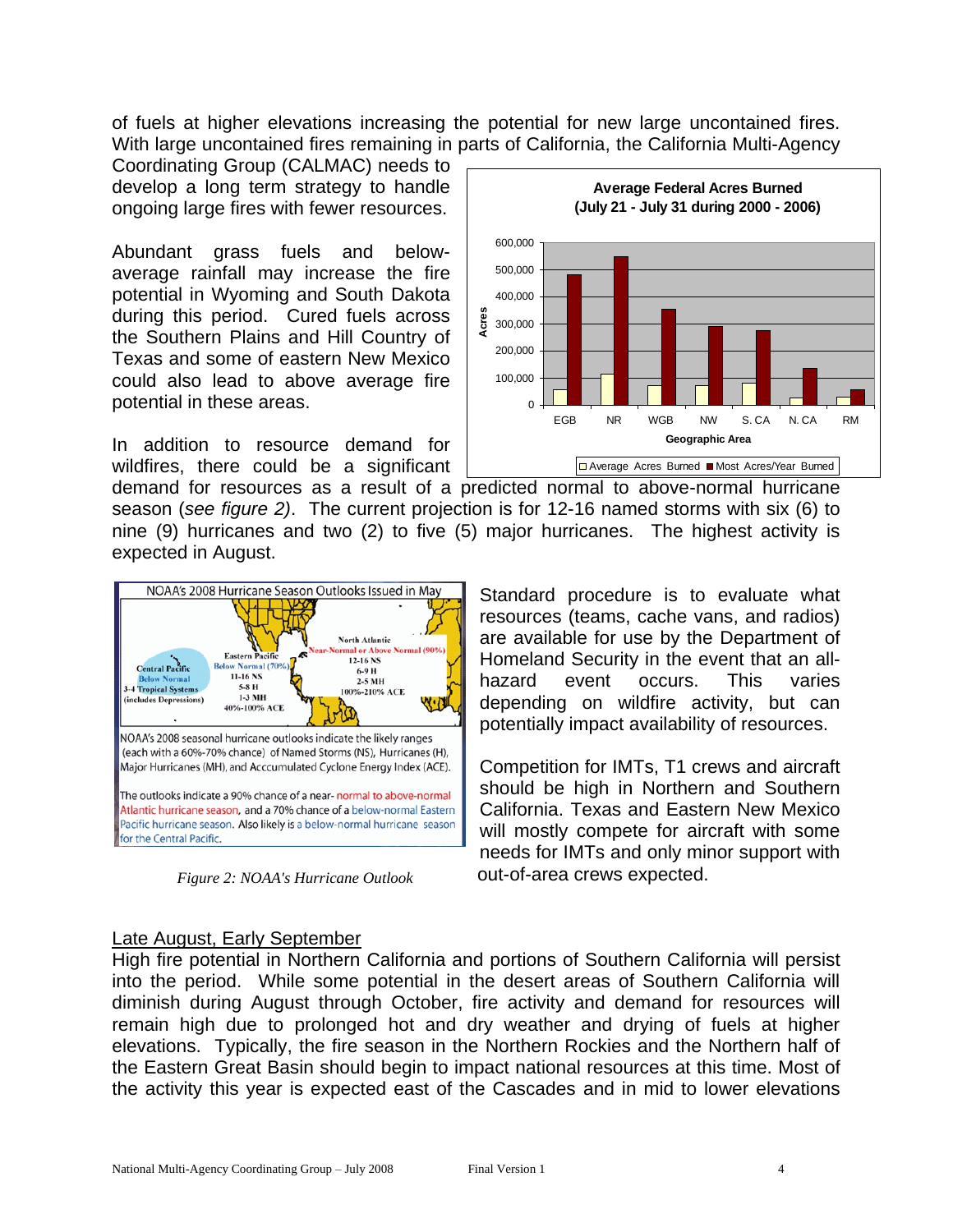of fuels at higher elevations increasing the potential for new large uncontained fires. With large uncontained fires remaining in parts of California, the California Multi-Agency

Coordinating Group (CALMAC) needs to develop a long term strategy to handle ongoing large fires with fewer resources.

Abundant grass fuels and belowaverage rainfall may increase the fire potential in Wyoming and South Dakota during this period. Cured fuels across the Southern Plains and Hill Country of Texas and some of eastern New Mexico could also lead to above average fire potential in these areas.

In addition to resource demand for wildfires, there could be a significant



demand for resources as a result of a predicted normal to above-normal hurricane season (*see figure 2)*. The current projection is for 12-16 named storms with six (6) to nine (9) hurricanes and two (2) to five (5) major hurricanes. The highest activity is expected in August.



*Figure 2: NOAA's Hurricane Outlook*

Standard procedure is to evaluate what resources (teams, cache vans, and radios) are available for use by the Department of Homeland Security in the event that an allhazard event occurs. This varies depending on wildfire activity, but can potentially impact availability of resources.

Competition for IMTs, T1 crews and aircraft should be high in Northern and Southern California. Texas and Eastern New Mexico will mostly compete for aircraft with some needs for IMTs and only minor support with out-of-area crews expected.

## Late August, Early September

High fire potential in Northern California and portions of Southern California will persist into the period. While some potential in the desert areas of Southern California will diminish during August through October, fire activity and demand for resources will remain high due to prolonged hot and dry weather and drying of fuels at higher elevations. Typically, the fire season in the Northern Rockies and the Northern half of the Eastern Great Basin should begin to impact national resources at this time. Most of the activity this year is expected east of the Cascades and in mid to lower elevations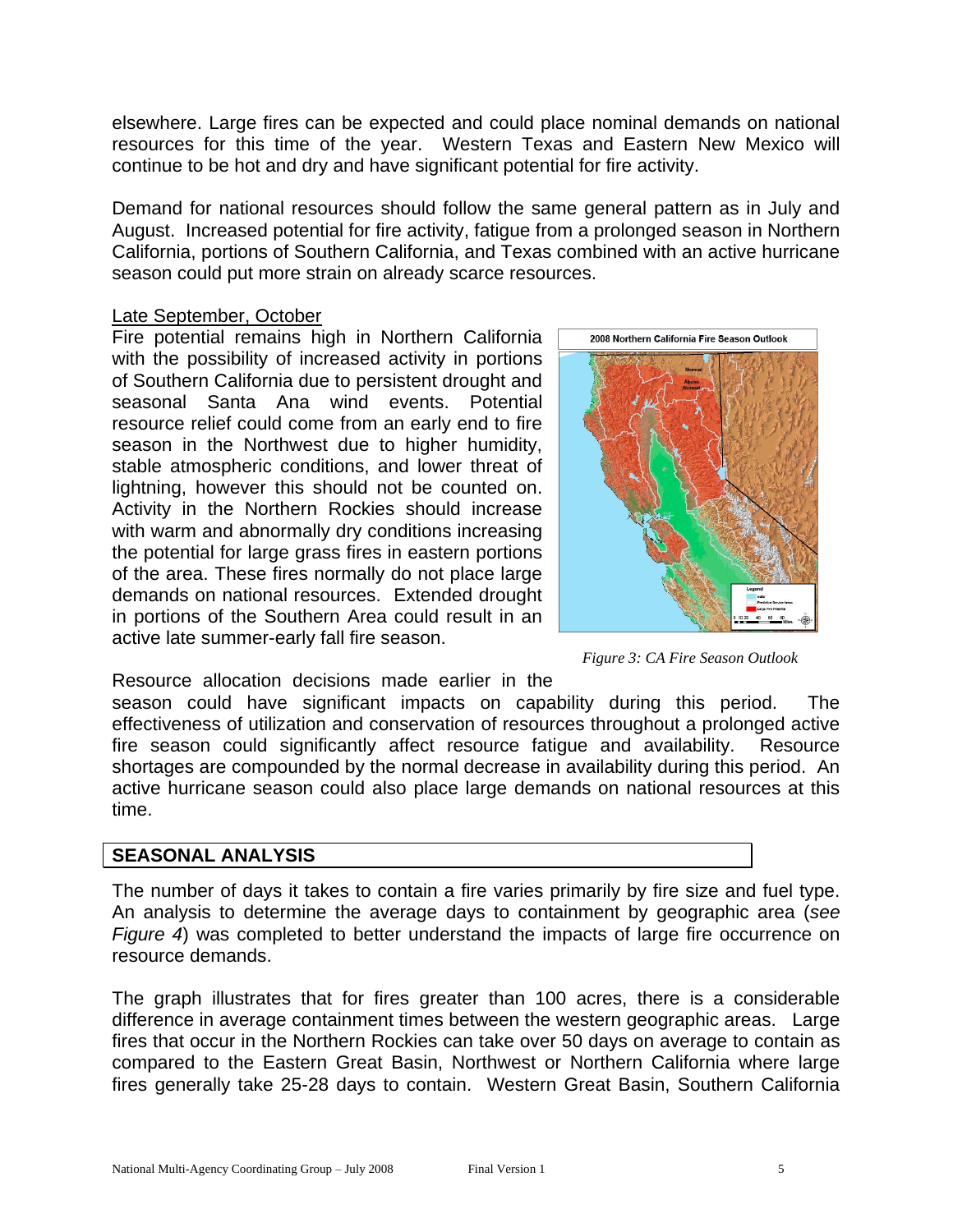elsewhere. Large fires can be expected and could place nominal demands on national resources for this time of the year. Western Texas and Eastern New Mexico will continue to be hot and dry and have significant potential for fire activity.

Demand for national resources should follow the same general pattern as in July and August. Increased potential for fire activity, fatigue from a prolonged season in Northern California, portions of Southern California, and Texas combined with an active hurricane season could put more strain on already scarce resources.

### Late September, October

Fire potential remains high in Northern California with the possibility of increased activity in portions of Southern California due to persistent drought and seasonal Santa Ana wind events. Potential resource relief could come from an early end to fire season in the Northwest due to higher humidity, stable atmospheric conditions, and lower threat of lightning, however this should not be counted on. Activity in the Northern Rockies should increase with warm and abnormally dry conditions increasing the potential for large grass fires in eastern portions of the area. These fires normally do not place large demands on national resources. Extended drought in portions of the Southern Area could result in an active late summer-early fall fire season.



*Figure 3: CA Fire Season Outlook*

Resource allocation decisions made earlier in the

season could have significant impacts on capability during this period. The effectiveness of utilization and conservation of resources throughout a prolonged active fire season could significantly affect resource fatigue and availability. Resource shortages are compounded by the normal decrease in availability during this period. An active hurricane season could also place large demands on national resources at this time.

## **SEASONAL ANALYSIS**

The number of days it takes to contain a fire varies primarily by fire size and fuel type. An analysis to determine the average days to containment by geographic area (*see Figure 4*) was completed to better understand the impacts of large fire occurrence on resource demands.

The graph illustrates that for fires greater than 100 acres, there is a considerable difference in average containment times between the western geographic areas. Large fires that occur in the Northern Rockies can take over 50 days on average to contain as compared to the Eastern Great Basin, Northwest or Northern California where large fires generally take 25-28 days to contain. Western Great Basin, Southern California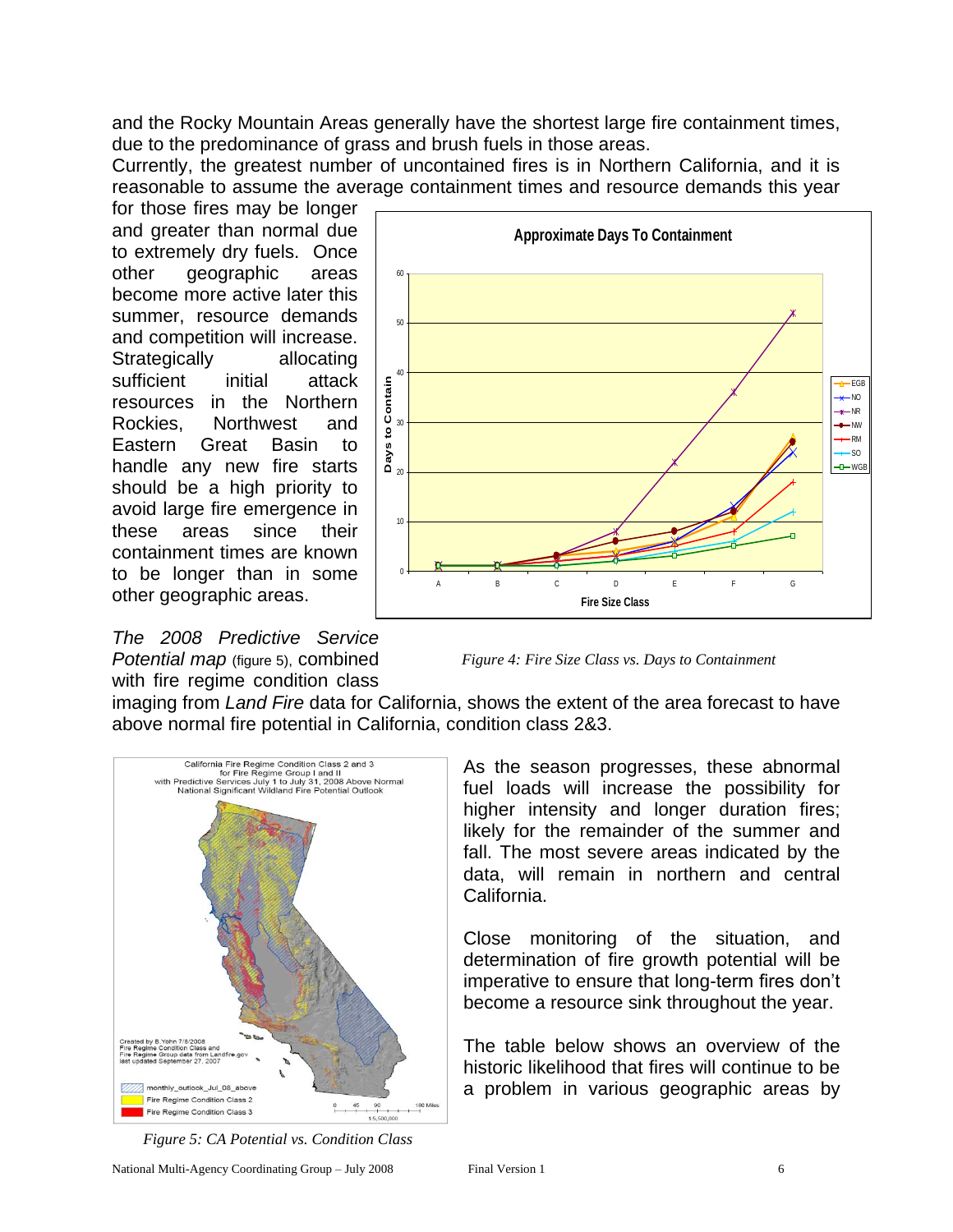and the Rocky Mountain Areas generally have the shortest large fire containment times, due to the predominance of grass and brush fuels in those areas.

Currently, the greatest number of uncontained fires is in Northern California, and it is reasonable to assume the average containment times and resource demands this year

for those fires may be longer and greater than normal due to extremely dry fuels. Once other geographic areas become more active later this summer, resource demands and competition will increase. Strategically allocating sufficient initial attack resources in the Northern Rockies, Northwest and Eastern Great Basin to handle any new fire starts should be a high priority to avoid large fire emergence in these areas since their containment times are known to be longer than in some other geographic areas.

*The 2008 Predictive Service Potential map* (figure 5), combined with fire regime condition class



*Figure 4: Fire Size Class vs. Days to Containment*

imaging from *Land Fire* data for California, shows the extent of the area forecast to have above normal fire potential in California, condition class 2&3.



*Figure 5: CA Potential vs. Condition Class*

As the season progresses, these abnormal fuel loads will increase the possibility for higher intensity and longer duration fires; likely for the remainder of the summer and fall. The most severe areas indicated by the data, will remain in northern and central California.

Close monitoring of the situation, and determination of fire growth potential will be imperative to ensure that long-term fires don't become a resource sink throughout the year.

The table below shows an overview of the historic likelihood that fires will continue to be a problem in various geographic areas by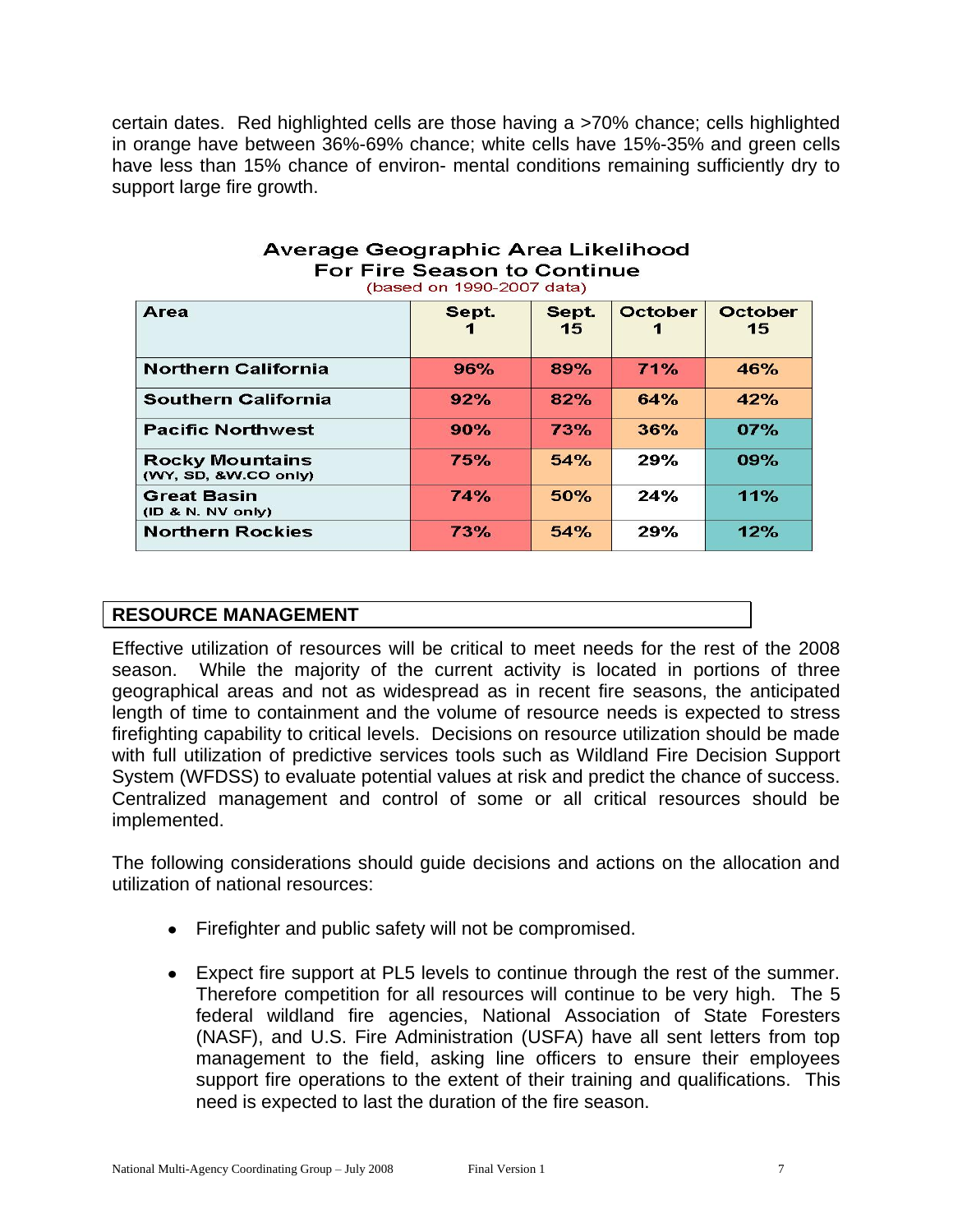certain dates. Red highlighted cells are those having a >70% chance; cells highlighted in orange have between 36%-69% chance; white cells have 15%-35% and green cells have less than 15% chance of environ- mental conditions remaining sufficiently dry to support large fire growth.

| Area                                           | Sept.      | Sept.<br>15 | October | <b>October</b><br>15 |
|------------------------------------------------|------------|-------------|---------|----------------------|
| <b>Northern California</b>                     | 96%        | 89%         | 71%     | 46%                  |
| <b>Southern California</b>                     | 92%        | 82%         | 64%     | 42%                  |
| <b>Pacific Northwest</b>                       | 90%        | 73%         | 36%     | 07%                  |
| <b>Rocky Mountains</b><br>(WY, SD, &W.CO only) | 75%        | 54%         | 29%     | 09%                  |
| <b>Great Basin</b><br>(1D & N. NV only)        | 74%        | 50%         | 24%     | 11%                  |
| <b>Northern Rockies</b>                        | <b>73%</b> | 54%         | 29%     | 12%                  |

#### Average Geographic Area Likelihood **For Fire Season to Continue** (based on 1990-2007 data)

## **RESOURCE MANAGEMENT**

Effective utilization of resources will be critical to meet needs for the rest of the 2008 season. While the majority of the current activity is located in portions of three geographical areas and not as widespread as in recent fire seasons, the anticipated length of time to containment and the volume of resource needs is expected to stress firefighting capability to critical levels. Decisions on resource utilization should be made with full utilization of predictive services tools such as Wildland Fire Decision Support System (WFDSS) to evaluate potential values at risk and predict the chance of success. Centralized management and control of some or all critical resources should be implemented.

L

The following considerations should guide decisions and actions on the allocation and utilization of national resources:

- Firefighter and public safety will not be compromised.
- Expect fire support at PL5 levels to continue through the rest of the summer. Therefore competition for all resources will continue to be very high. The 5 federal wildland fire agencies, National Association of State Foresters (NASF), and U.S. Fire Administration (USFA) have all sent letters from top management to the field, asking line officers to ensure their employees support fire operations to the extent of their training and qualifications. This need is expected to last the duration of the fire season.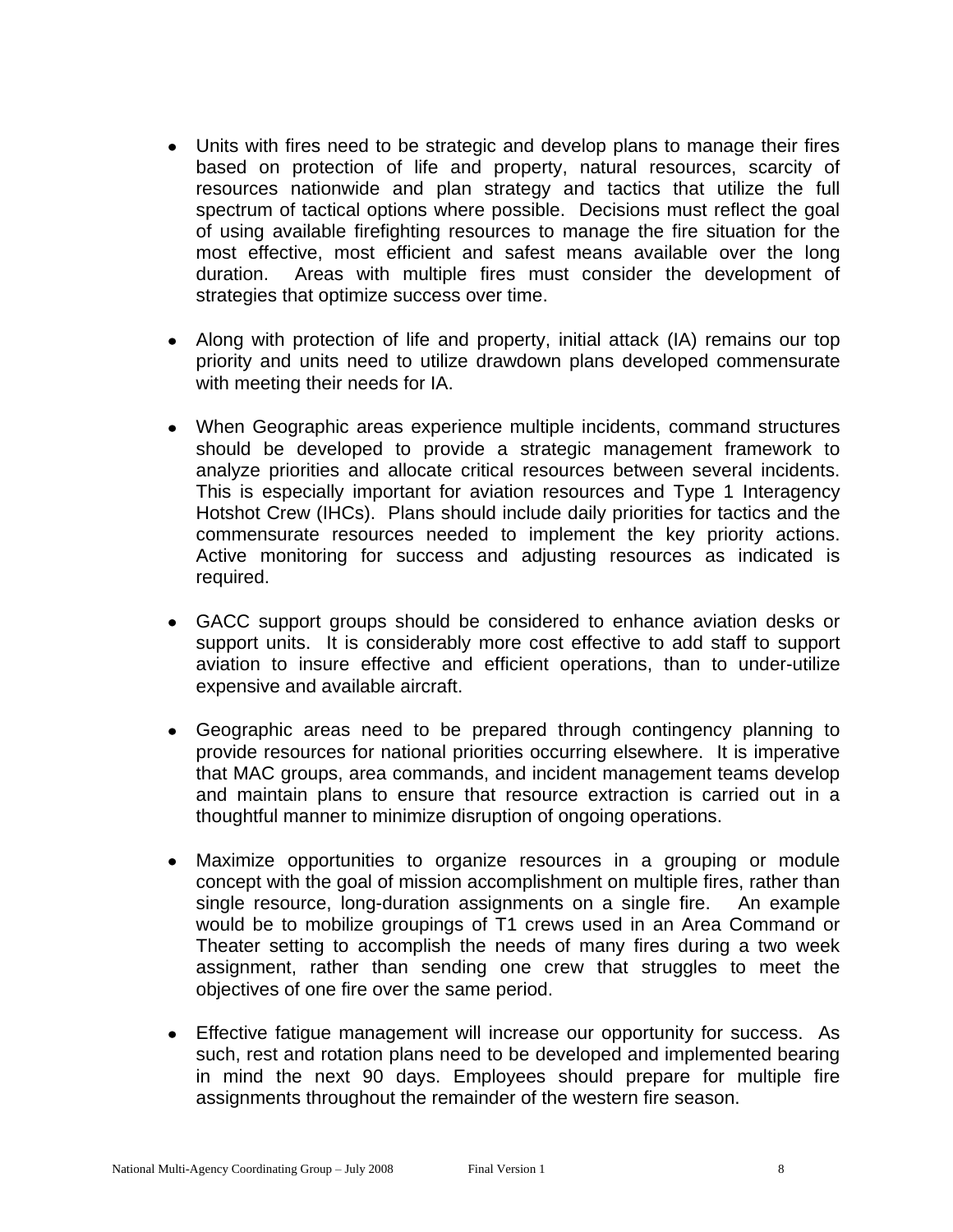- Units with fires need to be strategic and develop plans to manage their fires based on protection of life and property, natural resources, scarcity of resources nationwide and plan strategy and tactics that utilize the full spectrum of tactical options where possible. Decisions must reflect the goal of using available firefighting resources to manage the fire situation for the most effective, most efficient and safest means available over the long duration. Areas with multiple fires must consider the development of strategies that optimize success over time.
- Along with protection of life and property, initial attack (IA) remains our top priority and units need to utilize drawdown plans developed commensurate with meeting their needs for IA.
- When Geographic areas experience multiple incidents, command structures  $\bullet$ should be developed to provide a strategic management framework to analyze priorities and allocate critical resources between several incidents. This is especially important for aviation resources and Type 1 Interagency Hotshot Crew (IHCs). Plans should include daily priorities for tactics and the commensurate resources needed to implement the key priority actions. Active monitoring for success and adjusting resources as indicated is required.
- GACC support groups should be considered to enhance aviation desks or support units. It is considerably more cost effective to add staff to support aviation to insure effective and efficient operations, than to under-utilize expensive and available aircraft.
- Geographic areas need to be prepared through contingency planning to provide resources for national priorities occurring elsewhere. It is imperative that MAC groups, area commands, and incident management teams develop and maintain plans to ensure that resource extraction is carried out in a thoughtful manner to minimize disruption of ongoing operations.
- Maximize opportunities to organize resources in a grouping or module concept with the goal of mission accomplishment on multiple fires, rather than single resource, long-duration assignments on a single fire. An example would be to mobilize groupings of T1 crews used in an Area Command or Theater setting to accomplish the needs of many fires during a two week assignment, rather than sending one crew that struggles to meet the objectives of one fire over the same period.
- Effective fatigue management will increase our opportunity for success. As such, rest and rotation plans need to be developed and implemented bearing in mind the next 90 days. Employees should prepare for multiple fire assignments throughout the remainder of the western fire season.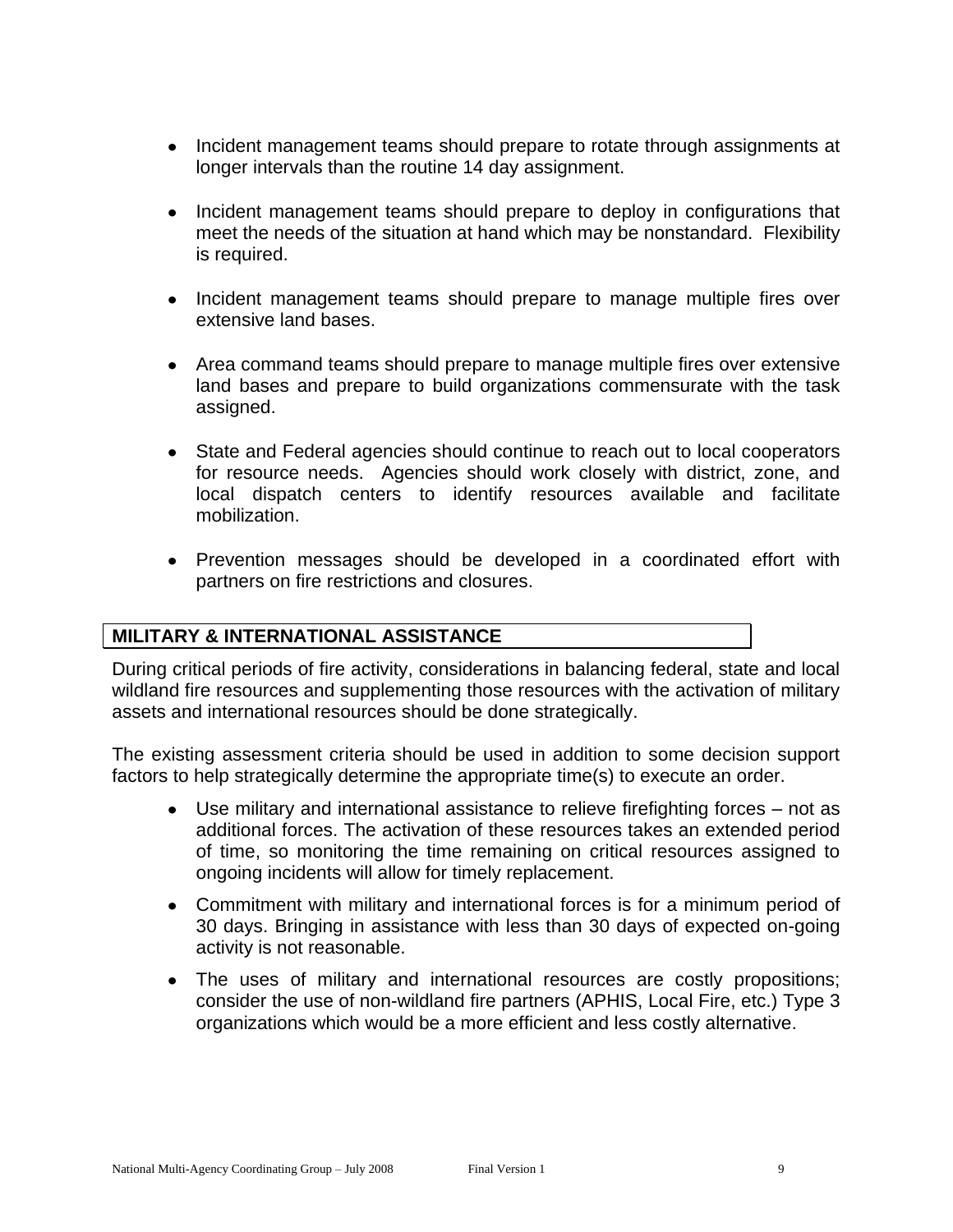- Incident management teams should prepare to rotate through assignments at longer intervals than the routine 14 day assignment.
- Incident management teams should prepare to deploy in configurations that meet the needs of the situation at hand which may be nonstandard. Flexibility is required.
- Incident management teams should prepare to manage multiple fires over extensive land bases.
- Area command teams should prepare to manage multiple fires over extensive land bases and prepare to build organizations commensurate with the task assigned.
- State and Federal agencies should continue to reach out to local cooperators for resource needs. Agencies should work closely with district, zone, and local dispatch centers to identify resources available and facilitate mobilization.
- Prevention messages should be developed in a coordinated effort with partners on fire restrictions and closures.

## **MILITARY & INTERNATIONAL ASSISTANCE**

During critical periods of fire activity, considerations in balancing federal, state and local wildland fire resources and supplementing those resources with the activation of military assets and international resources should be done strategically.

The existing assessment criteria should be used in addition to some decision support factors to help strategically determine the appropriate time(s) to execute an order.

- Use military and international assistance to relieve firefighting forces not as additional forces. The activation of these resources takes an extended period of time, so monitoring the time remaining on critical resources assigned to ongoing incidents will allow for timely replacement.
- Commitment with military and international forces is for a minimum period of 30 days. Bringing in assistance with less than 30 days of expected on-going activity is not reasonable.
- The uses of military and international resources are costly propositions; consider the use of non-wildland fire partners (APHIS, Local Fire, etc.) Type 3 organizations which would be a more efficient and less costly alternative.